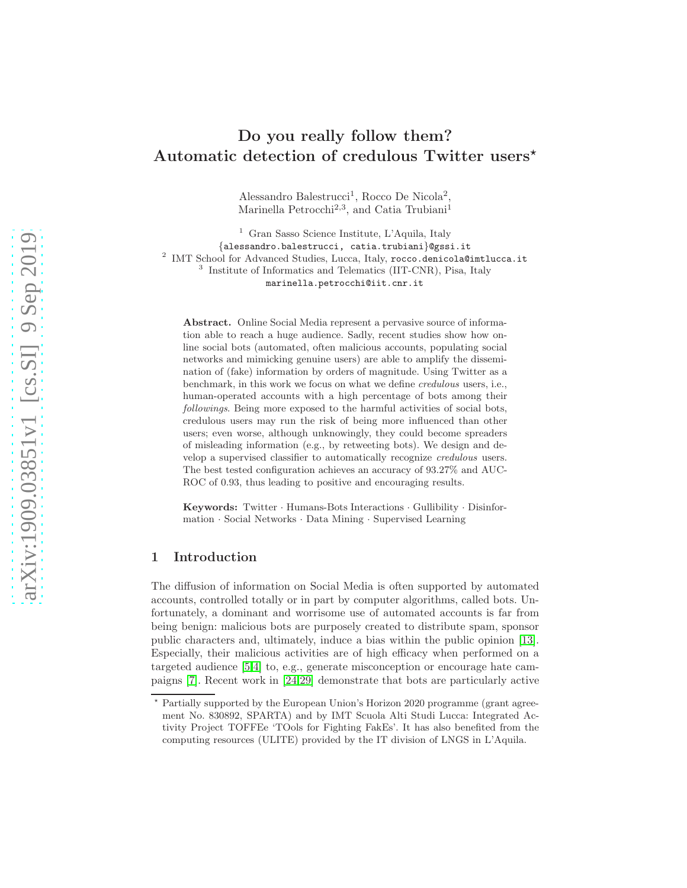# Do you really follow them? Automatic detection of credulous Twitter users<sup>\*</sup>

Alessandro Balestrucci<sup>1</sup>, Rocco De Nicola<sup>2</sup> , Marinella Petrocchi<sup>2,3</sup>, and Catia Trubiani<sup>1</sup>

<sup>1</sup> Gran Sasso Science Institute, L'Aquila, Italy {alessandro.balestrucci, catia.trubiani}@gssi.it <sup>2</sup> IMT School for Advanced Studies, Lucca, Italy, rocco.denicola@imtlucca.it 3 Institute of Informatics and Telematics (IIT-CNR), Pisa, Italy marinella.petrocchi@iit.cnr.it

Abstract. Online Social Media represent a pervasive source of information able to reach a huge audience. Sadly, recent studies show how online social bots (automated, often malicious accounts, populating social networks and mimicking genuine users) are able to amplify the dissemination of (fake) information by orders of magnitude. Using Twitter as a benchmark, in this work we focus on what we define credulous users, i.e., human-operated accounts with a high percentage of bots among their followings. Being more exposed to the harmful activities of social bots, credulous users may run the risk of being more influenced than other users; even worse, although unknowingly, they could become spreaders of misleading information (e.g., by retweeting bots). We design and develop a supervised classifier to automatically recognize credulous users. The best tested configuration achieves an accuracy of 93.27% and AUC-ROC of 0.93, thus leading to positive and encouraging results.

Keywords: Twitter · Humans-Bots Interactions · Gullibility · Disinformation · Social Networks · Data Mining · Supervised Learning

## 1 Introduction

The diffusion of information on Social Media is often supported by automated accounts, controlled totally or in part by computer algorithms, called bots. Unfortunately, a dominant and worrisome use of automated accounts is far from being benign: malicious bots are purposely created to distribute spam, sponsor public characters and, ultimately, induce a bias within the public opinion [\[13\]](#page-7-0). Especially, their malicious activities are of high efficacy when performed on a targeted audience [\[5,](#page-7-1)[4\]](#page-7-2) to, e.g., generate misconception or encourage hate campaigns [\[7\]](#page-7-3). Recent work in [\[24,](#page-7-4)[29\]](#page-7-5) demonstrate that bots are particularly active

<sup>⋆</sup> Partially supported by the European Union's Horizon 2020 programme (grant agreement No. 830892, SPARTA) and by IMT Scuola Alti Studi Lucca: Integrated Activity Project TOFFEe 'TOols for Fighting FakEs'. It has also benefited from the computing resources (ULITE) provided by the IT division of LNGS in L'Aquila.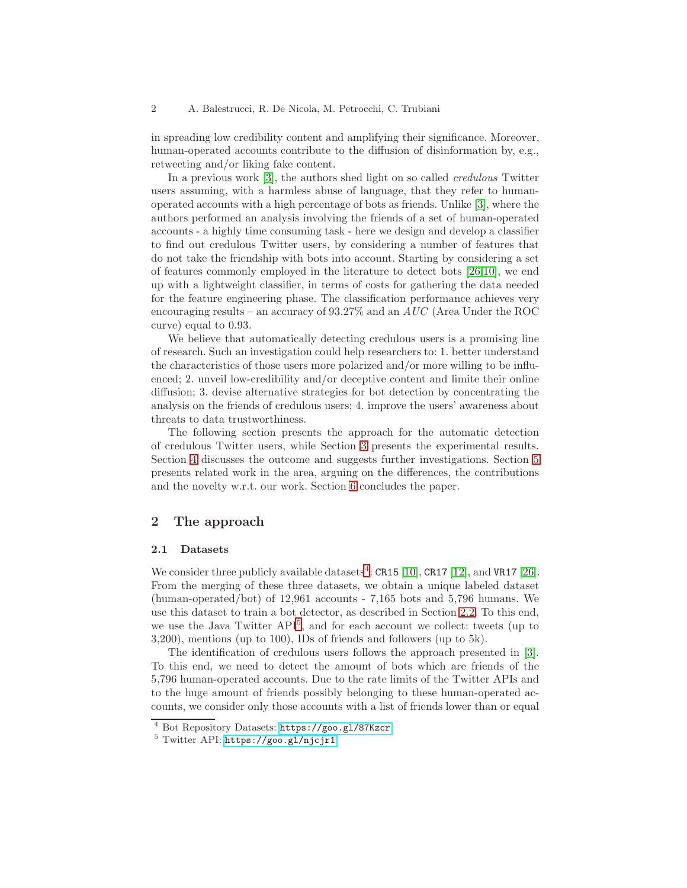in spreading low credibility content and amplifying their significance. Moreover, human-operated accounts contribute to the diffusion of disinformation by, e.g., retweeting and/or liking fake content.

In a previous work [\[3\]](#page-7-6), the authors shed light on so called *credulous* Twitter users assuming, with a harmless abuse of language, that they refer to humanoperated accounts with a high percentage of bots as friends. Unlike [\[3\]](#page-7-6), where the authors performed an analysis involving the friends of a set of human-operated accounts - a highly time consuming task - here we design and develop a classifier to find out credulous Twitter users, by considering a number of features that do not take the friendship with bots into account. Starting by considering a set of features commonly employed in the literature to detect bots [\[26](#page-7-7)[,10\]](#page-7-8), we end up with a lightweight classifier, in terms of costs for gathering the data needed for the feature engineering phase. The classification performance achieves very encouraging results – an accuracy of 93.27% and an AUC (Area Under the ROC curve) equal to 0.93.

We believe that automatically detecting credulous users is a promising line of research. Such an investigation could help researchers to: 1. better understand the characteristics of those users more polarized and/or more willing to be influenced; 2. unveil low-credibility and/or deceptive content and limite their online diffusion; 3. devise alternative strategies for bot detection by concentrating the analysis on the friends of credulous users; 4. improve the users' awareness about threats to data trustworthiness.

The following section presents the approach for the automatic detection of credulous Twitter users, while Section [3](#page-3-0) presents the experimental results. Section [4](#page-5-0) discusses the outcome and suggests further investigations. Section [5](#page-5-1) presents related work in the area, arguing on the differences, the contributions and the novelty w.r.t. our work. Section [6](#page-6-0) concludes the paper.

## 2 The approach

#### <span id="page-1-2"></span>2.1 Datasets

We consider three publicly available datasets<sup>[4](#page-1-0)</sup>:  $CR15$  [\[10\]](#page-7-8),  $CR17$  [\[12\]](#page-7-9), and  $VR17$  [\[26\]](#page-7-7). From the merging of these three datasets, we obtain a unique labeled dataset (human-operated/bot) of 12,961 accounts - 7,165 bots and 5,796 humans. We use this dataset to train a bot detector, as described in Section [2.2.](#page-2-0) To this end, we use the Java Twitter API<sup>[5](#page-1-1)</sup>, and for each account we collect: tweets (up to 3,200), mentions (up to 100), IDs of friends and followers (up to 5k).

The identification of credulous users follows the approach presented in [\[3\]](#page-7-6). To this end, we need to detect the amount of bots which are friends of the 5,796 human-operated accounts. Due to the rate limits of the Twitter APIs and to the huge amount of friends possibly belonging to these human-operated accounts, we consider only those accounts with a list of friends lower than or equal

<sup>4</sup> Bot Repository Datasets: <https://goo.gl/87Kzcr>

<span id="page-1-1"></span><span id="page-1-0"></span><sup>5</sup> Twitter API: <https://goo.gl/njcjr1>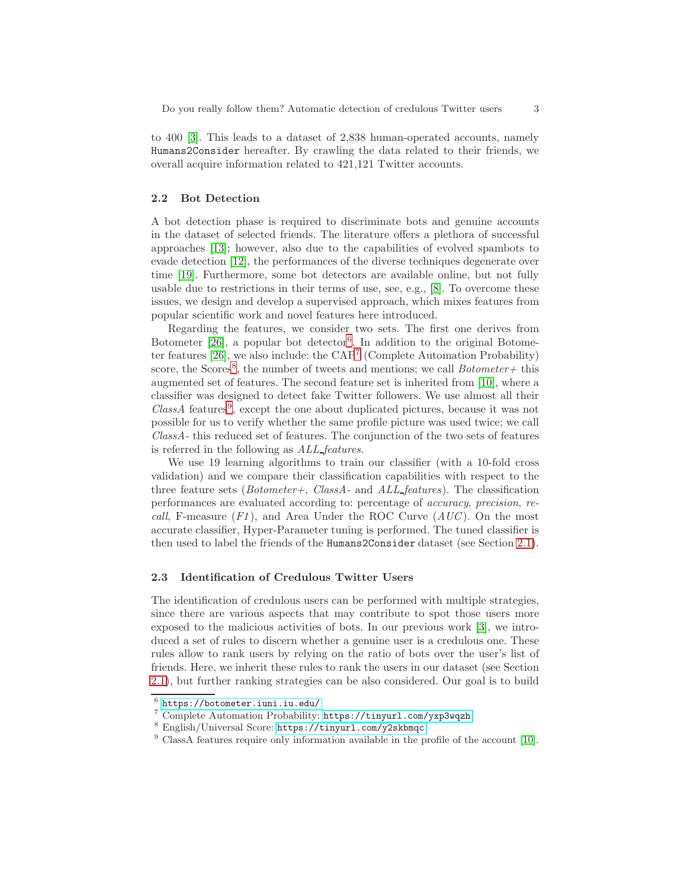to 400 [\[3\]](#page-7-6). This leads to a dataset of 2,838 human-operated accounts, namely Humans2Consider hereafter. By crawling the data related to their friends, we overall acquire information related to 421,121 Twitter accounts.

#### <span id="page-2-0"></span>2.2 Bot Detection

A bot detection phase is required to discriminate bots and genuine accounts in the dataset of selected friends. The literature offers a plethora of successful approaches [\[13\]](#page-7-0); however, also due to the capabilities of evolved spambots to evade detection [\[12\]](#page-7-9), the performances of the diverse techniques degenerate over time [\[19\]](#page-7-10). Furthermore, some bot detectors are available online, but not fully usable due to restrictions in their terms of use, see, e.g., [\[8\]](#page-7-11). To overcome these issues, we design and develop a supervised approach, which mixes features from popular scientific work and novel features here introduced.

Regarding the features, we consider two sets. The first one derives from Botometer [\[26\]](#page-7-7), a popular bot detector<sup>[6](#page-2-1)</sup>. In addition to the original Botometer features  $[26]$ , we also include: the  $\text{CAP}^7$  $\text{CAP}^7$  (Complete Automation Probability) score, the Scores<sup>[8](#page-2-3)</sup>, the number of tweets and mentions; we call  $Bottometer+\$  this augmented set of features. The second feature set is inherited from [\[10\]](#page-7-8), where a classifier was designed to detect fake Twitter followers. We use almost all their ClassA features<sup>[9](#page-2-4)</sup>, except the one about duplicated pictures, because it was not possible for us to verify whether the same profile picture was used twice; we call ClassA- this reduced set of features. The conjunction of the two sets of features is referred in the following as ALL features.

We use 19 learning algorithms to train our classifier (with a 10-fold cross validation) and we compare their classification capabilities with respect to the three feature sets ( $Bottometer+$ ,  $Class A$ - and  $ALL_features$ ). The classification performances are evaluated according to: percentage of accuracy, precision, recall, F-measure  $(F1)$ , and Area Under the ROC Curve  $(AUC)$ . On the most accurate classifier, Hyper-Parameter tuning is performed. The tuned classifier is then used to label the friends of the Humans2Consider dataset (see Section [2.1\)](#page-1-2).

#### <span id="page-2-5"></span>2.3 Identification of Credulous Twitter Users

The identification of credulous users can be performed with multiple strategies, since there are various aspects that may contribute to spot those users more exposed to the malicious activities of bots. In our previous work [\[3\]](#page-7-6), we introduced a set of rules to discern whether a genuine user is a credulous one. These rules allow to rank users by relying on the ratio of bots over the user's list of friends. Here, we inherit these rules to rank the users in our dataset (see Section [2.1\)](#page-1-2), but further ranking strategies can be also considered. Our goal is to build

 $^6$  <https://botometer.iuni.iu.edu/>

<span id="page-2-1"></span><sup>7</sup> Complete Automation Probability: <https://tinyurl.com/yxp3wqzh>

<span id="page-2-2"></span><sup>8</sup> English/Universal Score: <https://tinyurl.com/y2skbmqc>

<span id="page-2-4"></span><span id="page-2-3"></span><sup>9</sup> ClassA features require only information available in the profile of the account [\[10\]](#page-7-8).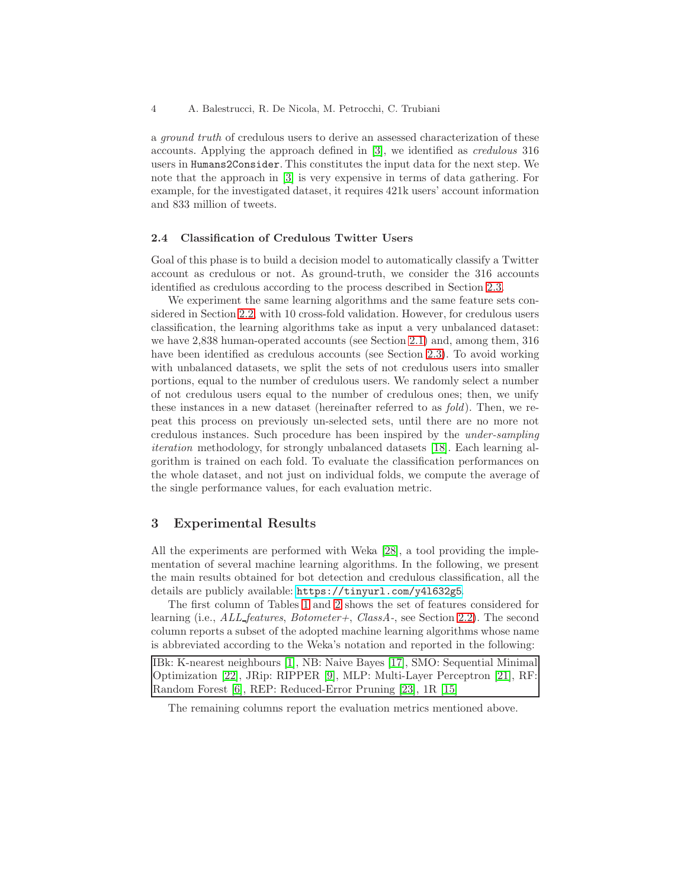a ground truth of credulous users to derive an assessed characterization of these accounts. Applying the approach defined in [\[3\]](#page-7-6), we identified as credulous 316 users in Humans2Consider. This constitutes the input data for the next step. We note that the approach in [\[3\]](#page-7-6) is very expensive in terms of data gathering. For example, for the investigated dataset, it requires 421k users' account information and 833 million of tweets.

#### 2.4 Classification of Credulous Twitter Users

Goal of this phase is to build a decision model to automatically classify a Twitter account as credulous or not. As ground-truth, we consider the 316 accounts identified as credulous according to the process described in Section [2.3.](#page-2-5)

We experiment the same learning algorithms and the same feature sets considered in Section [2.2,](#page-2-0) with 10 cross-fold validation. However, for credulous users classification, the learning algorithms take as input a very unbalanced dataset: we have 2,838 human-operated accounts (see Section [2.1\)](#page-1-2) and, among them, 316 have been identified as credulous accounts (see Section [2.3\)](#page-2-5). To avoid working with unbalanced datasets, we split the sets of not credulous users into smaller portions, equal to the number of credulous users. We randomly select a number of not credulous users equal to the number of credulous ones; then, we unify these instances in a new dataset (hereinafter referred to as fold). Then, we repeat this process on previously un-selected sets, until there are no more not credulous instances. Such procedure has been inspired by the under-sampling iteration methodology, for strongly unbalanced datasets [\[18\]](#page-7-12). Each learning algorithm is trained on each fold. To evaluate the classification performances on the whole dataset, and not just on individual folds, we compute the average of the single performance values, for each evaluation metric.

## <span id="page-3-0"></span>3 Experimental Results

All the experiments are performed with Weka [\[28\]](#page-7-13), a tool providing the implementation of several machine learning algorithms. In the following, we present the main results obtained for bot detection and credulous classification, all the details are publicly available: <https://tinyurl.com/y4l632g5>.

The first column of Tables [1](#page-4-0) and [2](#page-4-1) shows the set of features considered for learning (i.e.,  $ALL_features$ , Botometer+, ClassA-, see Section [2.2\)](#page-2-0). The second column reports a subset of the adopted machine learning algorithms whose name is abbreviated according to the Weka's notation and reported in the following:

IBk: K-nearest neighbours [\[1\]](#page-6-1), NB: Naive Bayes [\[17\]](#page-7-14), SMO: Sequential Minimal Optimization [\[22\]](#page-7-15), JRip: RIPPER [\[9\]](#page-7-16), MLP: Multi-Layer Perceptron [\[21\]](#page-7-17), RF: Random Forest [\[6\]](#page-7-18), REP: Reduced-Error Pruning [\[23\]](#page-7-19), 1R [\[15\]](#page-7-20)

The remaining columns report the evaluation metrics mentioned above.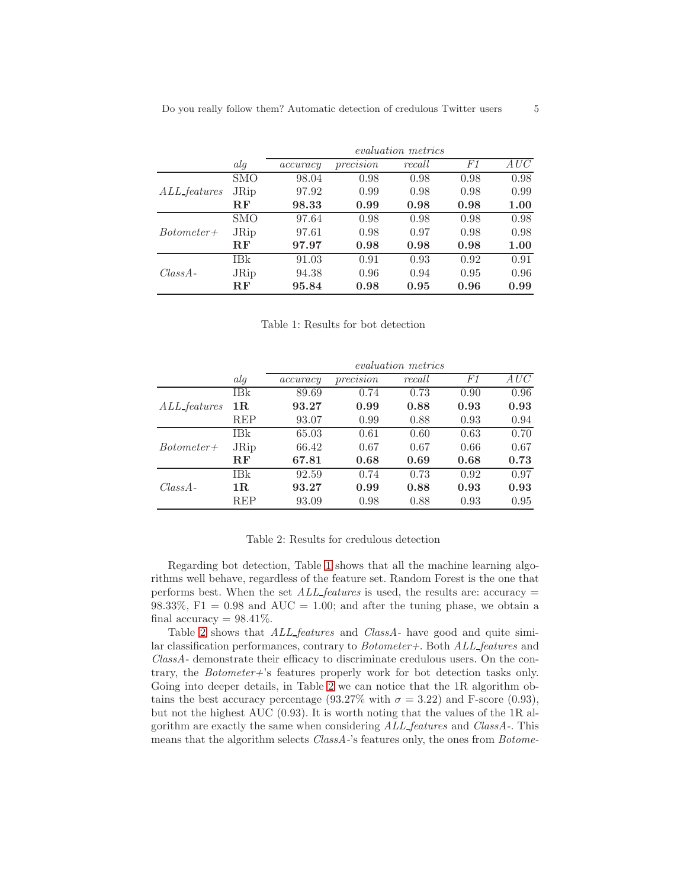<span id="page-4-0"></span>

|                     |             | <i>evaluation metrics</i> |           |        |      |      |  |
|---------------------|-------------|---------------------------|-----------|--------|------|------|--|
|                     | alg         | accuracy                  | precision | recall | F1   | AUC  |  |
| <i>ALL_features</i> | <b>SMO</b>  | 98.04                     | 0.98      | 0.98   | 0.98 | 0.98 |  |
|                     | <b>JRip</b> | 97.92                     | 0.99      | 0.98   | 0.98 | 0.99 |  |
|                     | $\bf{RF}$   | 98.33                     | 0.99      | 0.98   | 0.98 | 1.00 |  |
| $Bottometer+$       | <b>SMO</b>  | 97.64                     | 0.98      | 0.98   | 0.98 | 0.98 |  |
|                     | JRip        | 97.61                     | 0.98      | 0.97   | 0.98 | 0.98 |  |
|                     | $\bf{RF}$   | 97.97                     | 0.98      | 0.98   | 0.98 | 1.00 |  |
| $Class A -$         | <b>IBk</b>  | 91.03                     | 0.91      | 0.93   | 0.92 | 0.91 |  |
|                     | <b>JRip</b> | 94.38                     | 0.96      | 0.94   | 0.95 | 0.96 |  |
|                     | $\bf{RF}$   | 95.84                     | 0.98      | 0.95   | 0.96 | 0.99 |  |

Table 1: Results for bot detection

<span id="page-4-1"></span>

|                     |               | <i>evaluation metrics</i> |           |        |      |      |  |
|---------------------|---------------|---------------------------|-----------|--------|------|------|--|
|                     | alg           | accuracy                  | precision | recall | F1   | AUC  |  |
| <i>ALL_features</i> | IBk           | 89.69                     | 0.74      | 0.73   | 0.90 | 0.96 |  |
|                     | 1R            | 93.27                     | 0.99      | 0.88   | 0.93 | 0.93 |  |
|                     | REP           | 93.07                     | 0.99      | 0.88   | 0.93 | 0.94 |  |
| $Bottometer+$       | IBk           | 65.03                     | 0.61      | 0.60   | 0.63 | 0.70 |  |
|                     | <b>JRip</b>   | 66.42                     | 0.67      | 0.67   | 0.66 | 0.67 |  |
|                     | $\mathbf{RF}$ | 67.81                     | 0.68      | 0.69   | 0.68 | 0.73 |  |
| $Class A -$         | IBk           | 92.59                     | 0.74      | 0.73   | 0.92 | 0.97 |  |
|                     | 1R            | 93.27                     | 0.99      | 0.88   | 0.93 | 0.93 |  |
|                     | <b>REP</b>    | 93.09                     | 0.98      | 0.88   | 0.93 | 0.95 |  |

#### Table 2: Results for credulous detection

Regarding bot detection, Table [1](#page-4-0) shows that all the machine learning algorithms well behave, regardless of the feature set. Random Forest is the one that performs best. When the set  $ALL_features$  is used, the results are: accuracy = 98.33%,  $F1 = 0.98$  and  $AUC = 1.00$ ; and after the tuning phase, we obtain a final accuracy  $= 98.41\%$ .

Table [2](#page-4-1) shows that *ALL*-features and *ClassA*- have good and quite similar classification performances, contrary to Botometer+. Both ALL features and ClassA- demonstrate their efficacy to discriminate credulous users. On the contrary, the Botometer+'s features properly work for bot detection tasks only. Going into deeper details, in Table [2](#page-4-1) we can notice that the 1R algorithm obtains the best accuracy percentage (93.27% with  $\sigma = 3.22$ ) and F-score (0.93), but not the highest AUC (0.93). It is worth noting that the values of the 1R algorithm are exactly the same when considering ALL features and ClassA-. This means that the algorithm selects *ClassA*-'s features only, the ones from *Botome*-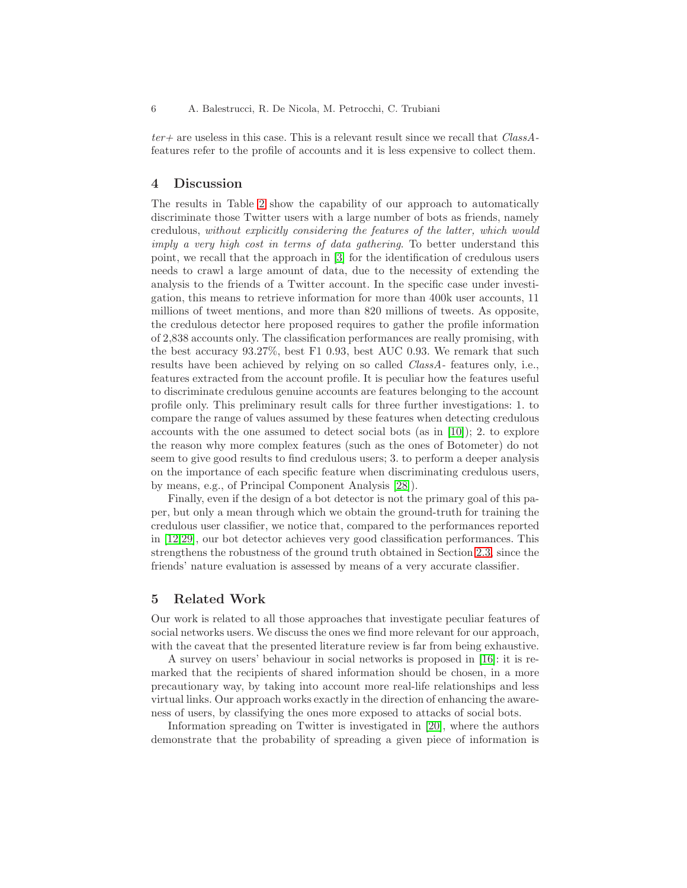$ter+$  are useless in this case. This is a relevant result since we recall that  $Class A$ features refer to the profile of accounts and it is less expensive to collect them.

## <span id="page-5-0"></span>4 Discussion

The results in Table [2](#page-4-1) show the capability of our approach to automatically discriminate those Twitter users with a large number of bots as friends, namely credulous, without explicitly considering the features of the latter, which would imply a very high cost in terms of data gathering. To better understand this point, we recall that the approach in [\[3\]](#page-7-6) for the identification of credulous users needs to crawl a large amount of data, due to the necessity of extending the analysis to the friends of a Twitter account. In the specific case under investigation, this means to retrieve information for more than 400k user accounts, 11 millions of tweet mentions, and more than 820 millions of tweets. As opposite, the credulous detector here proposed requires to gather the profile information of 2,838 accounts only. The classification performances are really promising, with the best accuracy 93.27%, best F1 0.93, best AUC 0.93. We remark that such results have been achieved by relying on so called ClassA- features only, i.e., features extracted from the account profile. It is peculiar how the features useful to discriminate credulous genuine accounts are features belonging to the account profile only. This preliminary result calls for three further investigations: 1. to compare the range of values assumed by these features when detecting credulous accounts with the one assumed to detect social bots (as in [\[10\]](#page-7-8)); 2. to explore the reason why more complex features (such as the ones of Botometer) do not seem to give good results to find credulous users; 3. to perform a deeper analysis on the importance of each specific feature when discriminating credulous users, by means, e.g., of Principal Component Analysis [\[28\]](#page-7-13)).

Finally, even if the design of a bot detector is not the primary goal of this paper, but only a mean through which we obtain the ground-truth for training the credulous user classifier, we notice that, compared to the performances reported in [\[12,](#page-7-9)[29\]](#page-7-5), our bot detector achieves very good classification performances. This strengthens the robustness of the ground truth obtained in Section [2.3,](#page-2-5) since the friends' nature evaluation is assessed by means of a very accurate classifier.

#### <span id="page-5-1"></span>5 Related Work

Our work is related to all those approaches that investigate peculiar features of social networks users. We discuss the ones we find more relevant for our approach, with the caveat that the presented literature review is far from being exhaustive.

A survey on users' behaviour in social networks is proposed in [\[16\]](#page-7-21): it is remarked that the recipients of shared information should be chosen, in a more precautionary way, by taking into account more real-life relationships and less virtual links. Our approach works exactly in the direction of enhancing the awareness of users, by classifying the ones more exposed to attacks of social bots.

Information spreading on Twitter is investigated in [20], where the authors demonstrate that the probability of spreading a given piece of information is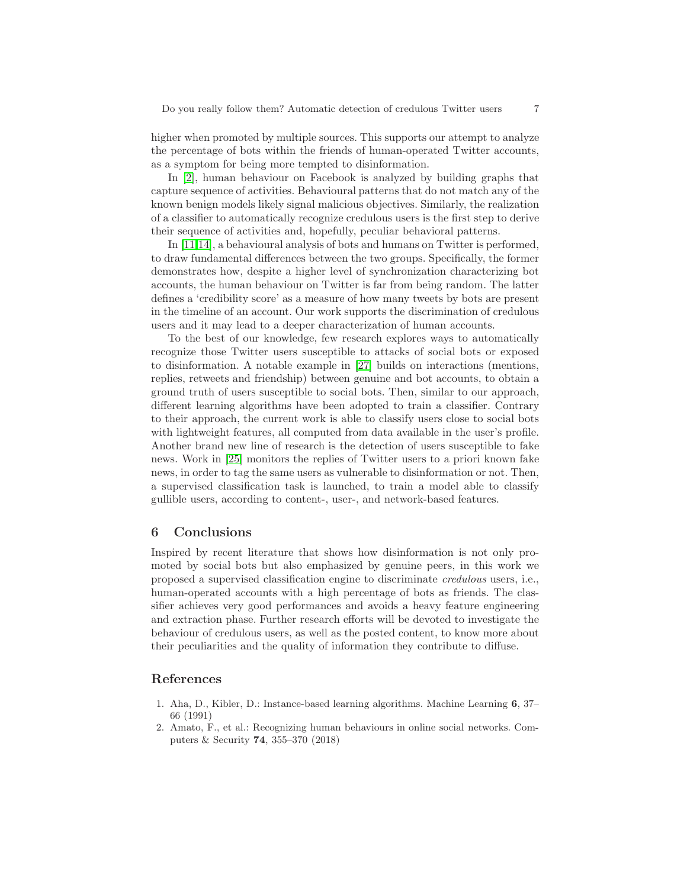higher when promoted by multiple sources. This supports our attempt to analyze the percentage of bots within the friends of human-operated Twitter accounts, as a symptom for being more tempted to disinformation.

In [\[2\]](#page-6-2), human behaviour on Facebook is analyzed by building graphs that capture sequence of activities. Behavioural patterns that do not match any of the known benign models likely signal malicious objectives. Similarly, the realization of a classifier to automatically recognize credulous users is the first step to derive their sequence of activities and, hopefully, peculiar behavioral patterns.

In [\[11,](#page-7-22)[14\]](#page-7-23), a behavioural analysis of bots and humans on Twitter is performed, to draw fundamental differences between the two groups. Specifically, the former demonstrates how, despite a higher level of synchronization characterizing bot accounts, the human behaviour on Twitter is far from being random. The latter defines a 'credibility score' as a measure of how many tweets by bots are present in the timeline of an account. Our work supports the discrimination of credulous users and it may lead to a deeper characterization of human accounts.

To the best of our knowledge, few research explores ways to automatically recognize those Twitter users susceptible to attacks of social bots or exposed to disinformation. A notable example in [\[27\]](#page-7-24) builds on interactions (mentions, replies, retweets and friendship) between genuine and bot accounts, to obtain a ground truth of users susceptible to social bots. Then, similar to our approach, different learning algorithms have been adopted to train a classifier. Contrary to their approach, the current work is able to classify users close to social bots with lightweight features, all computed from data available in the user's profile. Another brand new line of research is the detection of users susceptible to fake news. Work in [25] monitors the replies of Twitter users to a priori known fake news, in order to tag the same users as vulnerable to disinformation or not. Then, a supervised classification task is launched, to train a model able to classify gullible users, according to content-, user-, and network-based features.

#### <span id="page-6-0"></span>6 Conclusions

Inspired by recent literature that shows how disinformation is not only promoted by social bots but also emphasized by genuine peers, in this work we proposed a supervised classification engine to discriminate credulous users, i.e., human-operated accounts with a high percentage of bots as friends. The classifier achieves very good performances and avoids a heavy feature engineering and extraction phase. Further research efforts will be devoted to investigate the behaviour of credulous users, as well as the posted content, to know more about their peculiarities and the quality of information they contribute to diffuse.

### <span id="page-6-1"></span>References

- 1. Aha, D., Kibler, D.: Instance-based learning algorithms. Machine Learning 6, 37– 66 (1991)
- <span id="page-6-2"></span>2. Amato, F., et al.: Recognizing human behaviours in online social networks. Computers & Security 74, 355–370 (2018)